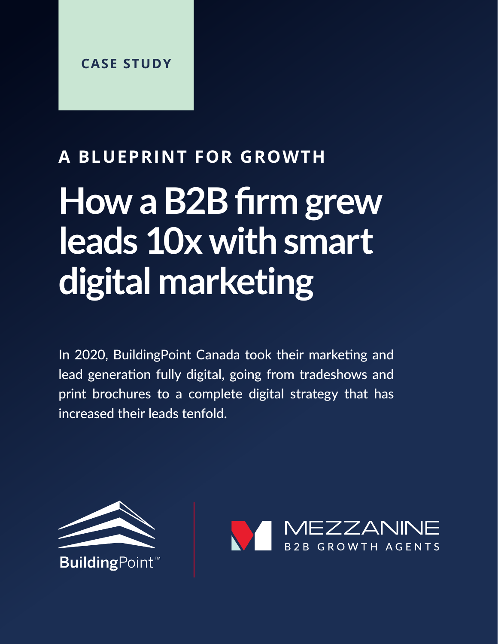### **A BLUEPRINT FOR GROWTH**

# **How a B2B firm grew leads 10x with smart digital marketing**

In 2020, BuildingPoint Canada took their marketing and lead generation fully digital, going from tradeshows and print brochures to a complete digital strategy that has increased their leads tenfold.



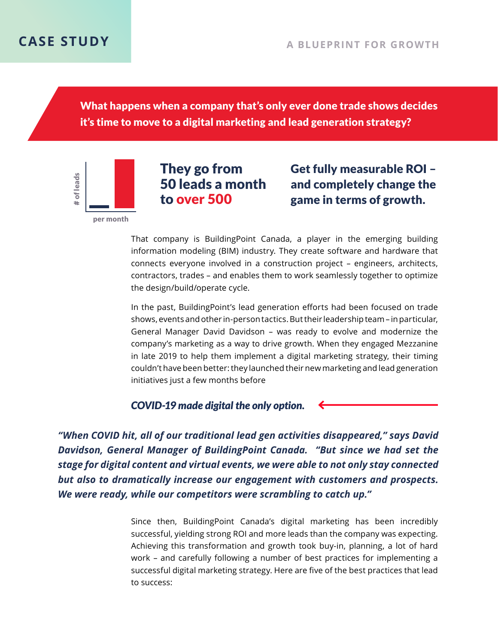What happens when a company that's only ever done trade shows decides it's time to move to a digital marketing and lead generation strategy?

of leads # of leadsper month

#### They go from 50 leads a month to over 500

Get fully measurable ROI – and completely change the game in terms of growth.

That company is BuildingPoint Canada, a player in the emerging building information modeling (BIM) industry. They create software and hardware that connects everyone involved in a construction project – engineers, architects, contractors, trades – and enables them to work seamlessly together to optimize the design/build/operate cycle.

In the past, BuildingPoint's lead generation efforts had been focused on trade shows, events and other in-person tactics. But their leadership team – in particular, General Manager David Davidson – was ready to evolve and modernize the company's marketing as a way to drive growth. When they engaged Mezzanine in late 2019 to help them implement a digital marketing strategy, their timing couldn't have been better: they launched their new marketing and lead generation initiatives just a few months before

*COVID-19 made digital the only option.*

*"When COVID hit, all of our traditional lead gen activities disappeared," says David Davidson, General Manager of BuildingPoint Canada. "But since we had set the stage for digital content and virtual events, we were able to not only stay connected but also to dramatically increase our engagement with customers and prospects. We were ready, while our competitors were scrambling to catch up."*

> Since then, BuildingPoint Canada's digital marketing has been incredibly successful, yielding strong ROI and more leads than the company was expecting. Achieving this transformation and growth took buy-in, planning, a lot of hard work – and carefully following a number of best practices for implementing a successful digital marketing strategy. Here are five of the best practices that lead to success: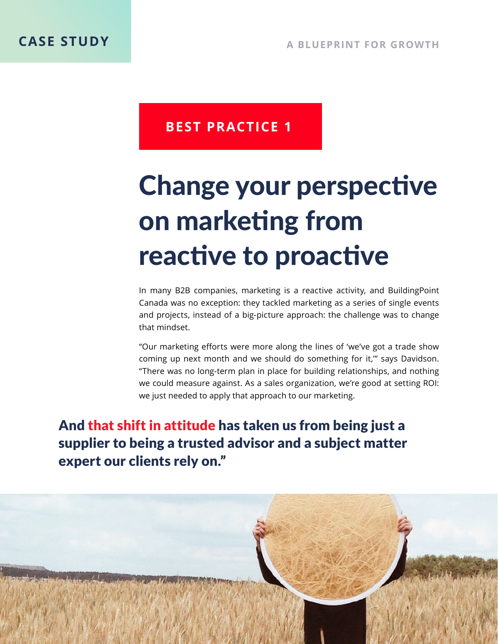## Change your perspective on marketing from reactive to proactive

In many B2B companies, marketing is a reactive activity, and BuildingPoint Canada was no exception: they tackled marketing as a series of single events and projects, instead of a big-picture approach: the challenge was to change that mindset.

"Our marketing efforts were more along the lines of 'we've got a trade show coming up next month and we should do something for it,'" says Davidson. "There was no long-term plan in place for building relationships, and nothing we could measure against. As a sales organization, we're good at setting ROI: we just needed to apply that approach to our marketing.

And that shift in attitude has taken us from being just a supplier to being a trusted advisor and a subject matter expert our clients rely on."

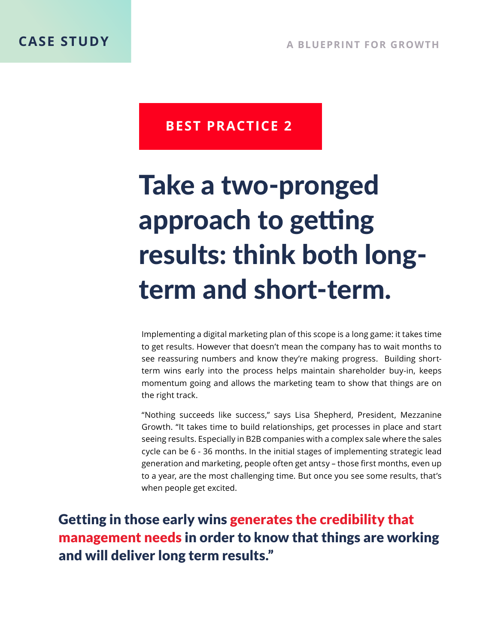## Take a two-pronged approach to getting results: think both longterm and short-term.

Implementing a digital marketing plan of this scope is a long game: it takes time to get results. However that doesn't mean the company has to wait months to see reassuring numbers and know they're making progress. Building shortterm wins early into the process helps maintain shareholder buy-in, keeps momentum going and allows the marketing team to show that things are on the right track.

"Nothing succeeds like success," says Lisa Shepherd, President, Mezzanine Growth. "It takes time to build relationships, get processes in place and start seeing results. Especially in B2B companies with a complex sale where the sales cycle can be 6 - 36 months. In the initial stages of implementing strategic lead generation and marketing, people often get antsy – those first months, even up to a year, are the most challenging time. But once you see some results, that's when people get excited.

Getting in those early wins generates the credibility that management needs in order to know that things are working and will deliver long term results."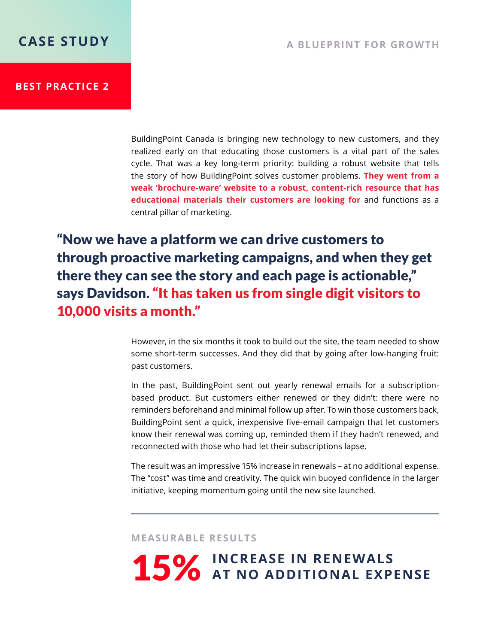BuildingPoint Canada is bringing new technology to new customers, and they realized early on that educating those customers is a vital part of the sales cycle. That was a key long-term priority: building a robust website that tells the story of how BuildingPoint solves customer problems. **They went from a weak 'brochure-ware' website to a robust, content-rich resource that has educational materials their customers are looking for** and functions as a central pillar of marketing.

"Now we have a platform we can drive customers to through proactive marketing campaigns, and when they get there they can see the story and each page is actionable," says Davidson. "It has taken us from single digit visitors to 10,000 visits a month."

> However, in the six months it took to build out the site, the team needed to show some short-term successes. And they did that by going after low-hanging fruit: past customers.

> In the past, BuildingPoint sent out yearly renewal emails for a subscriptionbased product. But customers either renewed or they didn't: there were no reminders beforehand and minimal follow up after. To win those customers back, BuildingPoint sent a quick, inexpensive five-email campaign that let customers know their renewal was coming up, reminded them if they hadn't renewed, and reconnected with those who had let their subscriptions lapse.

> The result was an impressive 15% increase in renewals – at no additional expense. The "cost" was time and creativity. The quick win buoyed confidence in the larger initiative, keeping momentum going until the new site launched.

**MEASURABLE RESULTS**

15% INCREASE IN RENEWALS **15%** AT NO ADDITIONAL EXPENSE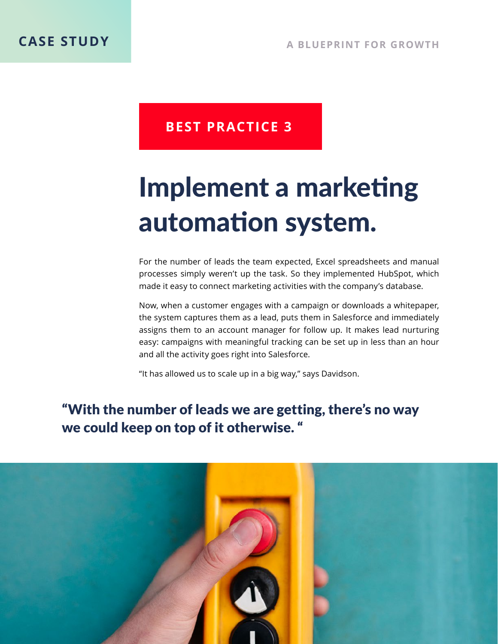### Implement a marketing automation system.

For the number of leads the team expected, Excel spreadsheets and manual processes simply weren't up the task. So they implemented HubSpot, which made it easy to connect marketing activities with the company's database.

Now, when a customer engages with a campaign or downloads a whitepaper, the system captures them as a lead, puts them in Salesforce and immediately assigns them to an account manager for follow up. It makes lead nurturing easy: campaigns with meaningful tracking can be set up in less than an hour and all the activity goes right into Salesforce.

"It has allowed us to scale up in a big way," says Davidson.

### "With the number of leads we are getting, there's no way we could keep on top of it otherwise. "

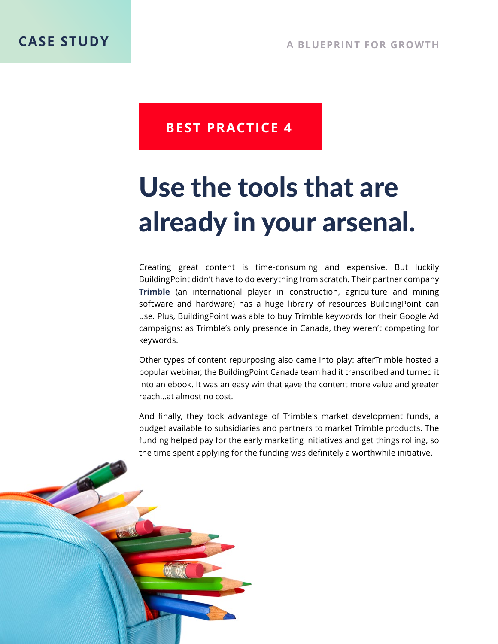### Use the tools that are already in your arsenal.

Creating great content is time-consuming and expensive. But luckily BuildingPoint didn't have to do everything from scratch. Their partner company **Trimble** (an international player in construction, agriculture and mining software and hardware) has a huge library of resources BuildingPoint can use. Plus, BuildingPoint was able to buy Trimble keywords for their Google Ad campaigns: as Trimble's only presence in Canada, they weren't competing for keywords.

Other types of content repurposing also came into play: afterTrimble hosted a popular webinar, the BuildingPoint Canada team had it transcribed and turned it into an ebook. It was an easy win that gave the content more value and greater reach...at almost no cost.

And finally, they took advantage of Trimble's market development funds, a budget available to subsidiaries and partners to market Trimble products. The funding helped pay for the early marketing initiatives and get things rolling, so the time spent applying for the funding was definitely a worthwhile initiative.

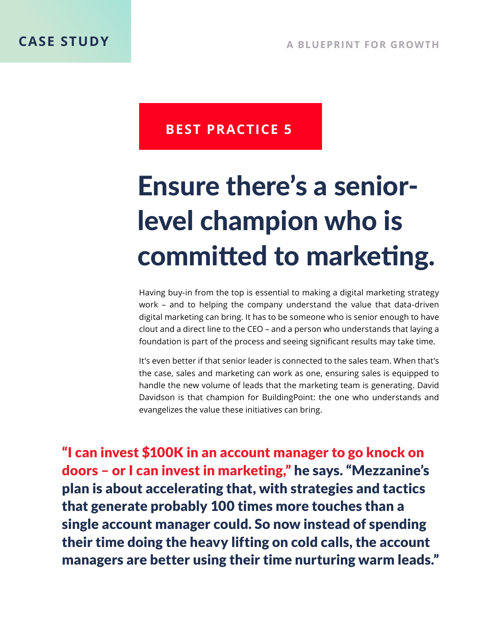# Ensure there's a seniorlevel champion who is committed to marketing.

Having buy-in from the top is essential to making a digital marketing strategy work – and to helping the company understand the value that data-driven digital marketing can bring. It has to be someone who is senior enough to have clout and a direct line to the CEO – and a person who understands that laying a foundation is part of the process and seeing significant results may take time.

It's even better if that senior leader is connected to the sales team. When that's the case, sales and marketing can work as one, ensuring sales is equipped to handle the new volume of leads that the marketing team is generating. David Davidson is that champion for BuildingPoint: the one who understands and evangelizes the value these initiatives can bring.

"I can invest \$100K in an account manager to go knock on doors – or I can invest in marketing," he says. "Mezzanine's plan is about accelerating that, with strategies and tactics that generate probably 100 times more touches than a single account manager could. So now instead of spending their time doing the heavy lifting on cold calls, the account managers are better using their time nurturing warm leads."